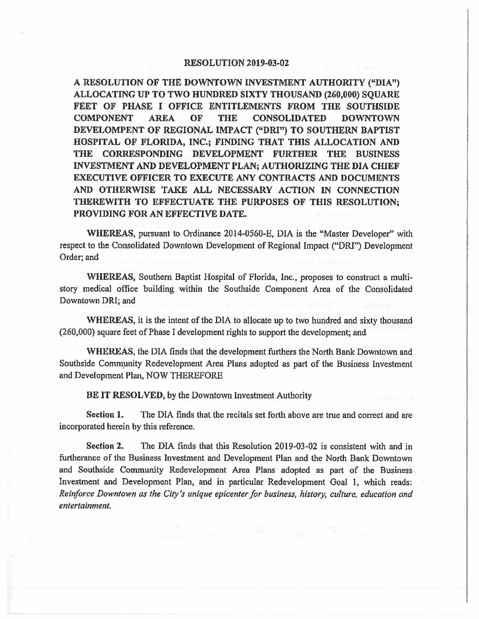## **RESOLUTION 2019-03-02**

**A RESOLUTION OF THE DOWNTOWN INVESTMENT AUTHORITY ("DIA") ALLOCATING UP TO TWO HUNDRED SIXTY THOUSAND (260,000} SQUARE FEET OF PHASE** I **OFFICE ENTITLEMENTS FROM THE SOUTHSIDE COMPONENT AREA OF THE CONSOLIDATED DOWNTOWN DEVELOMPENT OF REGIONAL IMPACT ("DRI") TO SOUTHERN BAPTIST HOSPITAL OF FLORIDA, INC.; FINDING THAT THIS ALLOCATION AND THE CORRESPONDING DEVELOPMENT FURTHER THE BUSINESS INVESTMENT AND DEVELOPMENT PLAN; AUTHORIZING THE DIA CHIEF EXECUTIVE OFFICER TO EXECUTE ANY CONTRACTS AND DOCUMENTS AND OTHERWISE TAKE ALL NECESSARY ACTION** IN **CONNECTION THEREWITH TO EFFECTUATE THE PURPOSES OF THIS RESOLUTION; PROVIDING FOR AN EFFECTIVE DATE.** 

**WHEREAS,** pursuant to Ordinance 2014-0560-E, DIA is the "Master Developer" with respect to the Consolidated Downtown Development of Regional Impact ("ORI") Development Order; and

**WHEREAS,** Southern Baptist Hospital of Florida, Inc., proposes to construct a multistory medical office building within the Southside Component Area of the Consolidated Downtown ORI; and

**WHEREAS,** it is the intent of the DIA to allocate up to two hundred and sixty thousand (260,000) square feet of Phase I development rights to support the development; and

**WHEREAS,** the DIA finds that the development furthers the North Bank Downtown and Southside Community Redevelopment Area Plans adopted as part of the Business Investment and Development Plan, NOW THEREFORE

BE **IT RESOLVED,** by the Downtown Investment Authority

**Section 1.** The DIA finds that the recitals set forth above are true and correct and are incorporated herein by this reference.

**Section 2.** The DIA finds that this Resolution 2019-03-02 is consistent with and in furtherance of the Business Investment and Development Plan and the North Bank Downtown and Southside Community Redevelopment Area Plans adopted as part of the Business Investment and Development Plan, and in particular Redevelopment Goal I, which reads: *Reinforce Downtown as the City's unique epicenter for business, history, culture, education and entertainment.*